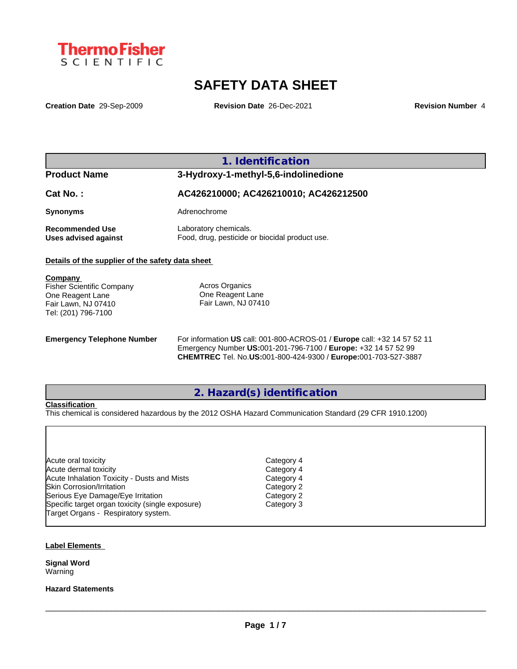

# **SAFETY DATA SHEET**

**Creation Date** 29-Sep-2009 **Revision Date** 26-Dec-2021 **Revision Number** 4

**1. Identification**

### **Product Name 3-Hydroxy-1-methyl-5,6-indolinedione**

**Cat No. : AC426210000; AC426210010; AC426212500 Synonyms** Adrenochrome **Recommended Use** Laboratory chemicals.<br> **Uses advised against** Food, drug, pesticide of Food, drug, pesticide or biocidal product use.

#### **Details of the supplier of the safety data sheet**

| Company                          |                     |  |
|----------------------------------|---------------------|--|
| <b>Fisher Scientific Company</b> | Acros Organics      |  |
| One Reagent Lane                 | One Reagent Lane    |  |
| Fair Lawn, NJ 07410              | Fair Lawn, NJ 07410 |  |
| Tel: (201) 796-7100              |                     |  |
|                                  |                     |  |

**Emergency Telephone Number** For information **US** call: 001-800-ACROS-01 / **Europe** call: +32 14 57 52 11 Emergency Number **US:**001-201-796-7100 / **Europe:** +32 14 57 52 99 **CHEMTREC** Tel. No.**US:**001-800-424-9300 / **Europe:**001-703-527-3887

### **2. Hazard(s) identification**

#### **Classification**

This chemical is considered hazardous by the 2012 OSHA Hazard Communication Standard (29 CFR 1910.1200)

| Category 4 |
|------------|
| Category 4 |
| Category 4 |
| Category 2 |
| Category 2 |
| Category 3 |
|            |
|            |

#### **Label Elements**

**Signal Word** Warning

#### **Hazard Statements**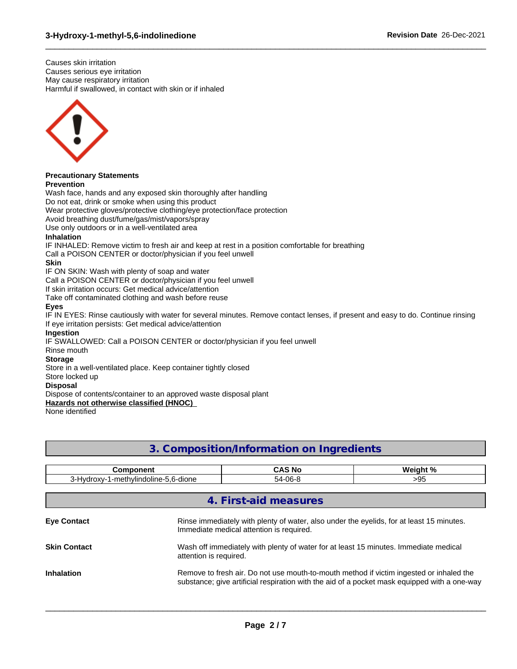Causes skin irritation Causes serious eye irritation May cause respiratory irritation Harmful if swallowed, in contact with skin or if inhaled



#### **Precautionary Statements Prevention**

Wash face, hands and any exposed skin thoroughly after handling Do not eat, drink or smoke when using this product Wear protective gloves/protective clothing/eye protection/face protection Avoid breathing dust/fume/gas/mist/vapors/spray Use only outdoors or in a well-ventilated area **Inhalation** IF INHALED: Remove victim to fresh air and keep at rest in a position comfortable for breathing Call a POISON CENTER or doctor/physician if you feel unwell **Skin** IF ON SKIN: Wash with plenty of soap and water Call a POISON CENTER or doctor/physician if you feel unwell If skin irritation occurs: Get medical advice/attention Take off contaminated clothing and wash before reuse **Eyes** IF IN EYES: Rinse cautiously with water for several minutes. Remove contact lenses, if present and easy to do. Continue rinsing If eye irritation persists: Get medical advice/attention **Ingestion** IF SWALLOWED: Call a POISON CENTER or doctor/physician if you feel unwell Rinse mouth **Storage** Store in a well-ventilated place. Keep container tightly closed Store locked up **Disposal** Dispose of contents/container to an approved waste disposal plant **Hazards not otherwise classified (HNOC)** None identified

 $\_$  ,  $\_$  ,  $\_$  ,  $\_$  ,  $\_$  ,  $\_$  ,  $\_$  ,  $\_$  ,  $\_$  ,  $\_$  ,  $\_$  ,  $\_$  ,  $\_$  ,  $\_$  ,  $\_$  ,  $\_$  ,  $\_$  ,  $\_$  ,  $\_$  ,  $\_$  ,  $\_$  ,  $\_$  ,  $\_$  ,  $\_$  ,  $\_$  ,  $\_$  ,  $\_$  ,  $\_$  ,  $\_$  ,  $\_$  ,  $\_$  ,  $\_$  ,  $\_$  ,  $\_$  ,  $\_$  ,  $\_$  ,  $\_$  ,

## **3. Composition/Information on Ingredients**

| <b>Component</b>                     |                                                                                                                                      | <b>CAS No</b>         | Weight %                                                                                                                                                                                |
|--------------------------------------|--------------------------------------------------------------------------------------------------------------------------------------|-----------------------|-----------------------------------------------------------------------------------------------------------------------------------------------------------------------------------------|
| 3-Hydroxy-1-methylindoline-5,6-dione |                                                                                                                                      | 54-06-8               | >95                                                                                                                                                                                     |
|                                      |                                                                                                                                      | 4. First-aid measures |                                                                                                                                                                                         |
| <b>Eye Contact</b>                   | Rinse immediately with plenty of water, also under the eyelids, for at least 15 minutes.<br>Immediate medical attention is required. |                       |                                                                                                                                                                                         |
| <b>Skin Contact</b>                  | Wash off immediately with plenty of water for at least 15 minutes. Immediate medical<br>attention is required.                       |                       |                                                                                                                                                                                         |
| <b>Inhalation</b>                    |                                                                                                                                      |                       | Remove to fresh air. Do not use mouth-to-mouth method if victim ingested or inhaled the<br>substance; give artificial respiration with the aid of a pocket mask equipped with a one-way |
|                                      |                                                                                                                                      |                       |                                                                                                                                                                                         |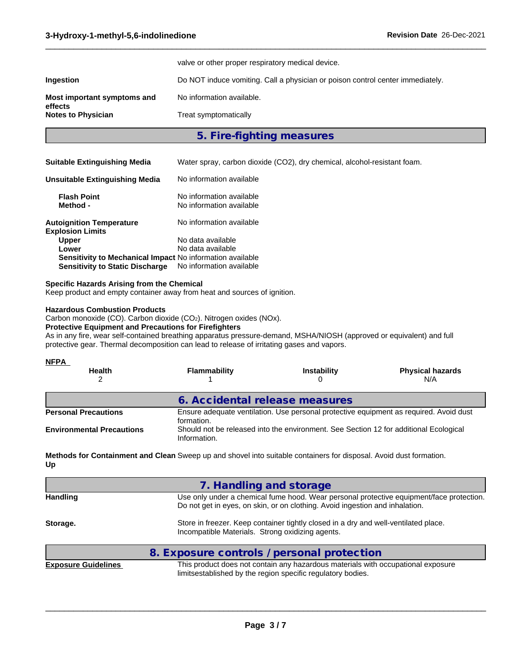|                                        | valve or other proper respiratory medical device.                              |
|----------------------------------------|--------------------------------------------------------------------------------|
| Ingestion                              | Do NOT induce vomiting. Call a physician or poison control center immediately. |
| Most important symptoms and<br>effects | No information available.                                                      |
| <b>Notes to Physician</b>              | Treat symptomatically                                                          |

### **5. Fire-fighting measures**

 $\_$  ,  $\_$  ,  $\_$  ,  $\_$  ,  $\_$  ,  $\_$  ,  $\_$  ,  $\_$  ,  $\_$  ,  $\_$  ,  $\_$  ,  $\_$  ,  $\_$  ,  $\_$  ,  $\_$  ,  $\_$  ,  $\_$  ,  $\_$  ,  $\_$  ,  $\_$  ,  $\_$  ,  $\_$  ,  $\_$  ,  $\_$  ,  $\_$  ,  $\_$  ,  $\_$  ,  $\_$  ,  $\_$  ,  $\_$  ,  $\_$  ,  $\_$  ,  $\_$  ,  $\_$  ,  $\_$  ,  $\_$  ,  $\_$  ,

| <b>Suitable Extinguishing Media</b> | Water spray, carbon dioxide (CO2), dry chemical, alcohol-resistant foam. |  |
|-------------------------------------|--------------------------------------------------------------------------|--|
|-------------------------------------|--------------------------------------------------------------------------|--|

| Unsuitable Extinguishing Media                             | No information available                             |
|------------------------------------------------------------|------------------------------------------------------|
| <b>Flash Point</b><br>Method -                             | No information available<br>No information available |
| <b>Autoignition Temperature</b><br><b>Explosion Limits</b> | No information available                             |
| <b>Upper</b>                                               | No data available                                    |
| Lower                                                      | No data available                                    |
| Sensitivity to Mechanical Impact No information available  |                                                      |
| <b>Sensitivity to Static Discharge</b>                     | No information available                             |

#### **Specific Hazards Arising from the Chemical**

Keep product and empty container away from heat and sources of ignition.

#### **Hazardous Combustion Products**

Carbon monoxide (CO). Carbon dioxide (CO2). Nitrogen oxides (NOx).

#### **Protective Equipment and Precautions for Firefighters**

As in any fire, wear self-contained breathing apparatus pressure-demand, MSHA/NIOSH (approved or equivalent) and full protective gear. Thermal decomposition can lead to release of irritating gases and vapors.

| <b>Flammability</b>                                                                                  | <b>Instability</b> | <b>Physical hazards</b><br>N/A                                                                                          |
|------------------------------------------------------------------------------------------------------|--------------------|-------------------------------------------------------------------------------------------------------------------------|
|                                                                                                      |                    |                                                                                                                         |
| Ensure adequate ventilation. Use personal protective equipment as required. Avoid dust<br>formation. |                    |                                                                                                                         |
| Information.                                                                                         |                    |                                                                                                                         |
|                                                                                                      |                    | 6. Accidental release measures<br>Should not be released into the environment. See Section 12 for additional Ecological |

**Methods for Containment and Clean** Sweep up and shovel into suitable containers for disposal. Avoid dust formation. **Up**

|                     | 7. Handling and storage                                                                                                                                                  |
|---------------------|--------------------------------------------------------------------------------------------------------------------------------------------------------------------------|
| <b>Handling</b>     | Use only under a chemical fume hood. Wear personal protective equipment/face protection.<br>Do not get in eyes, on skin, or on clothing. Avoid ingestion and inhalation. |
| Storage.            | Store in freezer. Keep container tightly closed in a dry and well-ventilated place.<br>Incompatible Materials. Strong oxidizing agents.                                  |
|                     | 8. Exposure controls / personal protection                                                                                                                               |
| Evnocuro Cuidelines | This product does not contain any hazardous materials with coounctional expecure                                                                                         |

**Exposure Guidelines** This product does not contain any hazardous materials with occupational exposure limitsestablished by the region specific regulatory bodies.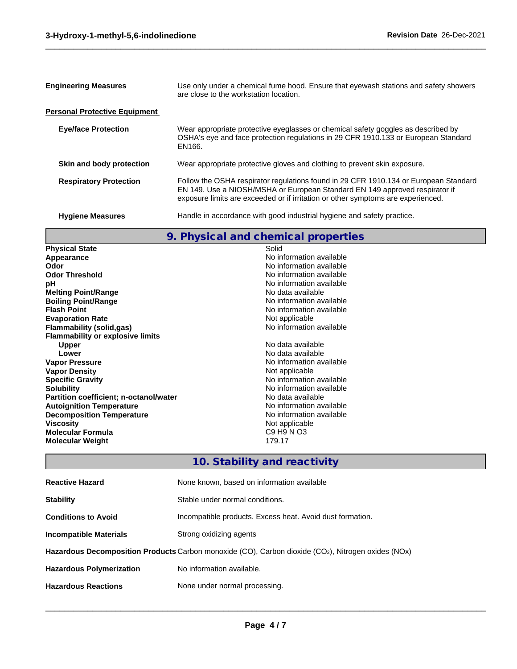| <b>Engineering Measures</b>          | Use only under a chemical fume hood. Ensure that eyewash stations and safety showers<br>are close to the workstation location.                                                                                                                          |  |
|--------------------------------------|---------------------------------------------------------------------------------------------------------------------------------------------------------------------------------------------------------------------------------------------------------|--|
| <b>Personal Protective Equipment</b> |                                                                                                                                                                                                                                                         |  |
| <b>Eye/face Protection</b>           | Wear appropriate protective eyeglasses or chemical safety goggles as described by<br>OSHA's eye and face protection regulations in 29 CFR 1910.133 or European Standard<br>EN166.                                                                       |  |
| Skin and body protection             | Wear appropriate protective gloves and clothing to prevent skin exposure.                                                                                                                                                                               |  |
| <b>Respiratory Protection</b>        | Follow the OSHA respirator regulations found in 29 CFR 1910.134 or European Standard<br>EN 149. Use a NIOSH/MSHA or European Standard EN 149 approved respirator if<br>exposure limits are exceeded or if irritation or other symptoms are experienced. |  |
| <b>Hygiene Measures</b>              | Handle in accordance with good industrial hygiene and safety practice.                                                                                                                                                                                  |  |

 $\_$  ,  $\_$  ,  $\_$  ,  $\_$  ,  $\_$  ,  $\_$  ,  $\_$  ,  $\_$  ,  $\_$  ,  $\_$  ,  $\_$  ,  $\_$  ,  $\_$  ,  $\_$  ,  $\_$  ,  $\_$  ,  $\_$  ,  $\_$  ,  $\_$  ,  $\_$  ,  $\_$  ,  $\_$  ,  $\_$  ,  $\_$  ,  $\_$  ,  $\_$  ,  $\_$  ,  $\_$  ,  $\_$  ,  $\_$  ,  $\_$  ,  $\_$  ,  $\_$  ,  $\_$  ,  $\_$  ,  $\_$  ,  $\_$  ,

# **9. Physical and chemical properties**

| <b>Physical State</b>                         | Solid                    |
|-----------------------------------------------|--------------------------|
| Appearance                                    | No information available |
| Odor                                          | No information available |
| <b>Odor Threshold</b>                         | No information available |
| рH                                            | No information available |
| <b>Melting Point/Range</b>                    | No data available        |
| <b>Boiling Point/Range</b>                    | No information available |
| <b>Flash Point</b>                            | No information available |
| <b>Evaporation Rate</b>                       | Not applicable           |
| Flammability (solid,gas)                      | No information available |
| <b>Flammability or explosive limits</b>       |                          |
| <b>Upper</b>                                  | No data available        |
| Lower                                         | No data available        |
| <b>Vapor Pressure</b>                         | No information available |
| <b>Vapor Density</b>                          | Not applicable           |
| <b>Specific Gravity</b>                       | No information available |
| Solubility                                    | No information available |
| <b>Partition coefficient; n-octanol/water</b> | No data available        |
| <b>Autoignition Temperature</b>               | No information available |
| <b>Decomposition Temperature</b>              | No information available |
| Viscosity                                     | Not applicable           |
| Molecular Formula                             | C9 H9 N O3               |
| <b>Molecular Weight</b>                       | 179.17                   |
|                                               |                          |

# **10. Stability and reactivity**

| <b>Reactive Hazard</b>                                                                             | None known, based on information available                |  |
|----------------------------------------------------------------------------------------------------|-----------------------------------------------------------|--|
| <b>Stability</b>                                                                                   | Stable under normal conditions.                           |  |
| <b>Conditions to Avoid</b>                                                                         | Incompatible products. Excess heat. Avoid dust formation. |  |
| Incompatible Materials                                                                             | Strong oxidizing agents                                   |  |
| Hazardous Decomposition Products Carbon monoxide (CO), Carbon dioxide (CO2), Nitrogen oxides (NOx) |                                                           |  |
| <b>Hazardous Polymerization</b>                                                                    | No information available.                                 |  |
| <b>Hazardous Reactions</b>                                                                         | None under normal processing.                             |  |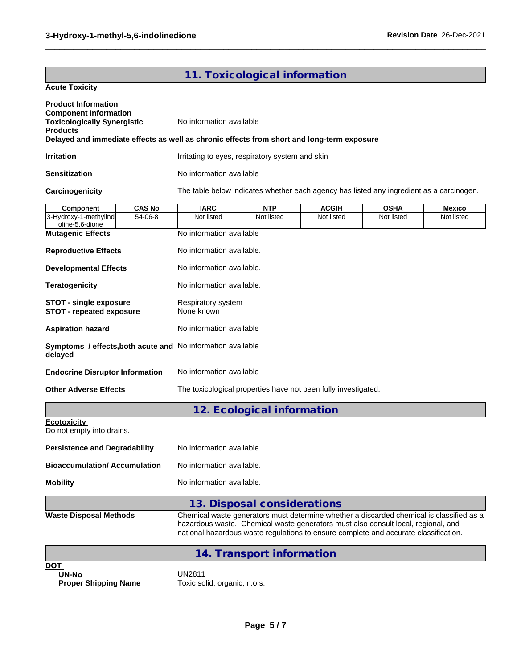## **11. Toxicological information**

 $\_$  ,  $\_$  ,  $\_$  ,  $\_$  ,  $\_$  ,  $\_$  ,  $\_$  ,  $\_$  ,  $\_$  ,  $\_$  ,  $\_$  ,  $\_$  ,  $\_$  ,  $\_$  ,  $\_$  ,  $\_$  ,  $\_$  ,  $\_$  ,  $\_$  ,  $\_$  ,  $\_$  ,  $\_$  ,  $\_$  ,  $\_$  ,  $\_$  ,  $\_$  ,  $\_$  ,  $\_$  ,  $\_$  ,  $\_$  ,  $\_$  ,  $\_$  ,  $\_$  ,  $\_$  ,  $\_$  ,  $\_$  ,  $\_$  ,

#### **Acute Toxicity**

| <b>Product Information</b><br><b>Component Information</b><br><b>Toxicologically Synergistic</b><br><b>Products</b> |                           | No information available                                                                 |                                                 |                                                                                                                                                                                                                                                                       |             |               |  |  |
|---------------------------------------------------------------------------------------------------------------------|---------------------------|------------------------------------------------------------------------------------------|-------------------------------------------------|-----------------------------------------------------------------------------------------------------------------------------------------------------------------------------------------------------------------------------------------------------------------------|-------------|---------------|--|--|
| Delayed and immediate effects as well as chronic effects from short and long-term exposure                          |                           |                                                                                          |                                                 |                                                                                                                                                                                                                                                                       |             |               |  |  |
| <b>Irritation</b>                                                                                                   |                           |                                                                                          | Irritating to eyes, respiratory system and skin |                                                                                                                                                                                                                                                                       |             |               |  |  |
| Sensitization                                                                                                       |                           | No information available                                                                 |                                                 |                                                                                                                                                                                                                                                                       |             |               |  |  |
| Carcinogenicity                                                                                                     |                           | The table below indicates whether each agency has listed any ingredient as a carcinogen. |                                                 |                                                                                                                                                                                                                                                                       |             |               |  |  |
| <b>Component</b>                                                                                                    | <b>CAS No</b>             | <b>IARC</b>                                                                              | <b>NTP</b>                                      | <b>ACGIH</b>                                                                                                                                                                                                                                                          | <b>OSHA</b> | <b>Mexico</b> |  |  |
| 3-Hydroxy-1-methylind<br>oline-5,6-dione                                                                            | 54-06-8                   | Not listed                                                                               | Not listed                                      | Not listed                                                                                                                                                                                                                                                            | Not listed  | Not listed    |  |  |
| <b>Mutagenic Effects</b>                                                                                            |                           | No information available                                                                 |                                                 |                                                                                                                                                                                                                                                                       |             |               |  |  |
| <b>Reproductive Effects</b>                                                                                         |                           | No information available.                                                                |                                                 |                                                                                                                                                                                                                                                                       |             |               |  |  |
| <b>Developmental Effects</b>                                                                                        |                           | No information available.                                                                |                                                 |                                                                                                                                                                                                                                                                       |             |               |  |  |
| <b>Teratogenicity</b>                                                                                               |                           | No information available.                                                                |                                                 |                                                                                                                                                                                                                                                                       |             |               |  |  |
| <b>STOT - single exposure</b><br><b>STOT - repeated exposure</b>                                                    |                           | Respiratory system<br>None known                                                         |                                                 |                                                                                                                                                                                                                                                                       |             |               |  |  |
| <b>Aspiration hazard</b>                                                                                            |                           | No information available                                                                 |                                                 |                                                                                                                                                                                                                                                                       |             |               |  |  |
| Symptoms / effects, both acute and No information available<br>delayed                                              |                           |                                                                                          |                                                 |                                                                                                                                                                                                                                                                       |             |               |  |  |
| <b>Endocrine Disruptor Information</b>                                                                              |                           | No information available                                                                 |                                                 |                                                                                                                                                                                                                                                                       |             |               |  |  |
| <b>Other Adverse Effects</b>                                                                                        |                           | The toxicological properties have not been fully investigated.                           |                                                 |                                                                                                                                                                                                                                                                       |             |               |  |  |
|                                                                                                                     |                           |                                                                                          | 12. Ecological information                      |                                                                                                                                                                                                                                                                       |             |               |  |  |
| <b>Ecotoxicity</b><br>Do not empty into drains.                                                                     |                           |                                                                                          |                                                 |                                                                                                                                                                                                                                                                       |             |               |  |  |
| <b>Persistence and Degradability</b>                                                                                |                           | No information available                                                                 |                                                 |                                                                                                                                                                                                                                                                       |             |               |  |  |
| <b>Bioaccumulation/ Accumulation</b>                                                                                |                           | No information available.                                                                |                                                 |                                                                                                                                                                                                                                                                       |             |               |  |  |
| <b>Mobility</b>                                                                                                     | No information available. |                                                                                          |                                                 |                                                                                                                                                                                                                                                                       |             |               |  |  |
|                                                                                                                     |                           |                                                                                          | 13. Disposal considerations                     |                                                                                                                                                                                                                                                                       |             |               |  |  |
| <b>Waste Disposal Methods</b>                                                                                       |                           |                                                                                          |                                                 | Chemical waste generators must determine whether a discarded chemical is classified as a<br>hazardous waste. Chemical waste generators must also consult local, regional, and<br>national hazardous waste regulations to ensure complete and accurate classification. |             |               |  |  |
|                                                                                                                     |                           |                                                                                          | 14. Transport information                       |                                                                                                                                                                                                                                                                       |             |               |  |  |
| <b>DOT</b>                                                                                                          |                           |                                                                                          |                                                 |                                                                                                                                                                                                                                                                       |             |               |  |  |
| <b>UN-No</b>                                                                                                        |                           | <b>IJN2811</b>                                                                           |                                                 |                                                                                                                                                                                                                                                                       |             |               |  |  |

**UN-No<br>Proper Shipping Name** 

**Proper Shipping Name** Toxic solid, organic, n.o.s.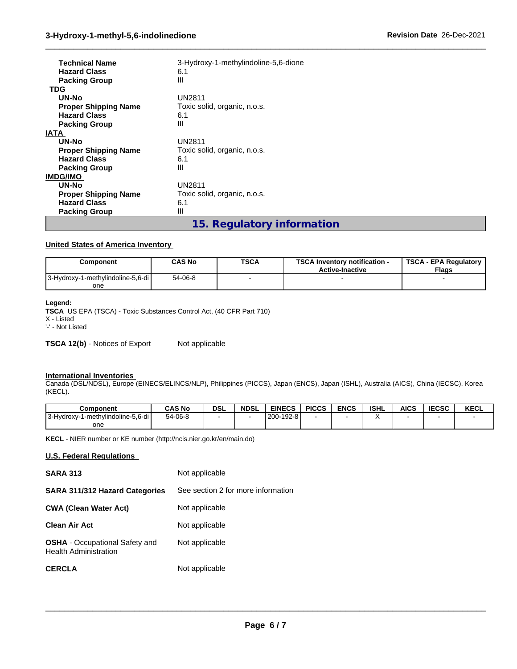| <b>Technical Name</b><br><b>Hazard Class</b> | 3-Hydroxy-1-methylindoline-5,6-dione<br>6.1<br>Ш |
|----------------------------------------------|--------------------------------------------------|
| <b>Packing Group</b>                         |                                                  |
| <b>TDG</b>                                   |                                                  |
| UN-No                                        | <b>UN2811</b>                                    |
| <b>Proper Shipping Name</b>                  | Toxic solid, organic, n.o.s.                     |
| <b>Hazard Class</b>                          | 6.1                                              |
| <b>Packing Group</b>                         | Ш                                                |
| <b>IATA</b>                                  |                                                  |
| UN-No                                        | <b>UN2811</b>                                    |
| <b>Proper Shipping Name</b>                  | Toxic solid, organic, n.o.s.                     |
| <b>Hazard Class</b>                          | 6.1                                              |
| <b>Packing Group</b>                         | Ш                                                |
| <b>IMDG/IMO</b>                              |                                                  |
| UN-No                                        | <b>UN2811</b>                                    |
| <b>Proper Shipping Name</b>                  | Toxic solid, organic, n.o.s.                     |
| <b>Hazard Class</b>                          | 6.1                                              |
| <b>Packing Group</b>                         | Ш                                                |
|                                              | 1 E Desuleten infernetten                        |

**15. Regulatory information**

 $\_$  ,  $\_$  ,  $\_$  ,  $\_$  ,  $\_$  ,  $\_$  ,  $\_$  ,  $\_$  ,  $\_$  ,  $\_$  ,  $\_$  ,  $\_$  ,  $\_$  ,  $\_$  ,  $\_$  ,  $\_$  ,  $\_$  ,  $\_$  ,  $\_$  ,  $\_$  ,  $\_$  ,  $\_$  ,  $\_$  ,  $\_$  ,  $\_$  ,  $\_$  ,  $\_$  ,  $\_$  ,  $\_$  ,  $\_$  ,  $\_$  ,  $\_$  ,  $\_$  ,  $\_$  ,  $\_$  ,  $\_$  ,  $\_$  ,

#### **United States of America Inventory**

| Component                          | <b>CAS No</b> | <b>TSCA</b> | <b>TSCA Inventory notification -</b><br><b>Active-Inactive</b> | <b>TSCA - EPA Regulatory</b><br><b>Flags</b> |
|------------------------------------|---------------|-------------|----------------------------------------------------------------|----------------------------------------------|
| 13-Hydroxy-1-methylindoline-5,6-di | 54-06-8       |             |                                                                |                                              |
| one                                |               |             |                                                                |                                              |

#### **Legend:**

**TSCA** US EPA (TSCA) - Toxic Substances Control Act, (40 CFR Part 710) X - Listed '-' - Not Listed

**TSCA 12(b)** - Notices of Export Not applicable

#### **International Inventories**

Canada (DSL/NDSL), Europe (EINECS/ELINCS/NLP), Philippines (PICCS), Japan (ENCS), Japan (ISHL), Australia (AICS), China (IECSC), Korea (KECL).

| <b>Component</b>                       | <b>CAS No</b> | <b>DSL</b> | <b>NDSL</b> | <b>EINECS</b>        | <b>PICCS</b> | <b>ENCS</b> | <b>ISHL</b> | AICS | <b>IECSC</b> | <b>KECL</b> |
|----------------------------------------|---------------|------------|-------------|----------------------|--------------|-------------|-------------|------|--------------|-------------|
| '-methylindoline-5,6-di<br>13-Hydroxy- | 54-06-8       |            |             | $-192-8$<br>' 200- . |              |             |             |      |              |             |
| one                                    |               |            |             |                      |              |             |             |      |              |             |

**KECL** - NIER number or KE number (http://ncis.nier.go.kr/en/main.do)

#### **U.S. Federal Regulations**

| <b>SARA 313</b>                                                       | Not applicable                     |
|-----------------------------------------------------------------------|------------------------------------|
| SARA 311/312 Hazard Categories                                        | See section 2 for more information |
| <b>CWA (Clean Water Act)</b>                                          | Not applicable                     |
| <b>Clean Air Act</b>                                                  | Not applicable                     |
| <b>OSHA</b> - Occupational Safety and<br><b>Health Administration</b> | Not applicable                     |
| <b>CERCLA</b>                                                         | Not applicable                     |